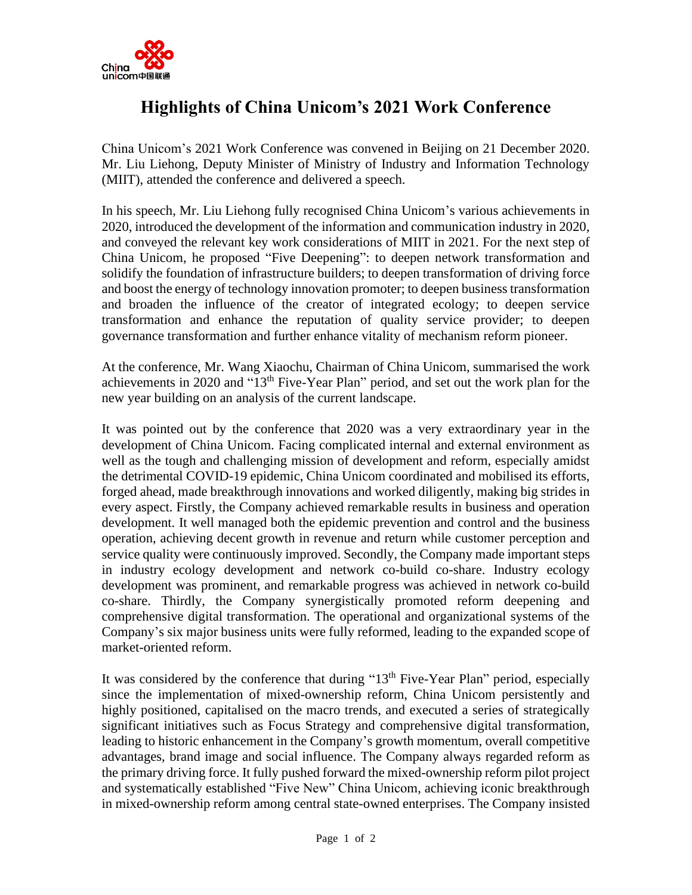

## **Highlights of China Unicom's 2021 Work Conference**

China Unicom's 2021 Work Conference was convened in Beijing on 21 December 2020. Mr. Liu Liehong, Deputy Minister of Ministry of Industry and Information Technology (MIIT), attended the conference and delivered a speech.

In his speech, Mr. Liu Liehong fully recognised China Unicom's various achievements in 2020, introduced the development of the information and communication industry in 2020, and conveyed the relevant key work considerations of MIIT in 2021. For the next step of China Unicom, he proposed "Five Deepening": to deepen network transformation and solidify the foundation of infrastructure builders; to deepen transformation of driving force and boost the energy of technology innovation promoter; to deepen business transformation and broaden the influence of the creator of integrated ecology; to deepen service transformation and enhance the reputation of quality service provider; to deepen governance transformation and further enhance vitality of mechanism reform pioneer.

At the conference, Mr. Wang Xiaochu, Chairman of China Unicom, summarised the work achievements in 2020 and "13<sup>th</sup> Five-Year Plan" period, and set out the work plan for the new year building on an analysis of the current landscape.

It was pointed out by the conference that 2020 was a very extraordinary year in the development of China Unicom. Facing complicated internal and external environment as well as the tough and challenging mission of development and reform, especially amidst the detrimental COVID-19 epidemic, China Unicom coordinated and mobilised its efforts, forged ahead, made breakthrough innovations and worked diligently, making big strides in every aspect. Firstly, the Company achieved remarkable results in business and operation development. It well managed both the epidemic prevention and control and the business operation, achieving decent growth in revenue and return while customer perception and service quality were continuously improved. Secondly, the Company made important steps in industry ecology development and network co-build co-share. Industry ecology development was prominent, and remarkable progress was achieved in network co-build co-share. Thirdly, the Company synergistically promoted reform deepening and comprehensive digital transformation. The operational and organizational systems of the Company's six major business units were fully reformed, leading to the expanded scope of market-oriented reform.

It was considered by the conference that during " $13<sup>th</sup>$  Five-Year Plan" period, especially since the implementation of mixed-ownership reform, China Unicom persistently and highly positioned, capitalised on the macro trends, and executed a series of strategically significant initiatives such as Focus Strategy and comprehensive digital transformation, leading to historic enhancement in the Company's growth momentum, overall competitive advantages, brand image and social influence. The Company always regarded reform as the primary driving force. It fully pushed forward the mixed-ownership reform pilot project and systematically established "Five New" China Unicom, achieving iconic breakthrough in mixed-ownership reform among central state-owned enterprises. The Company insisted